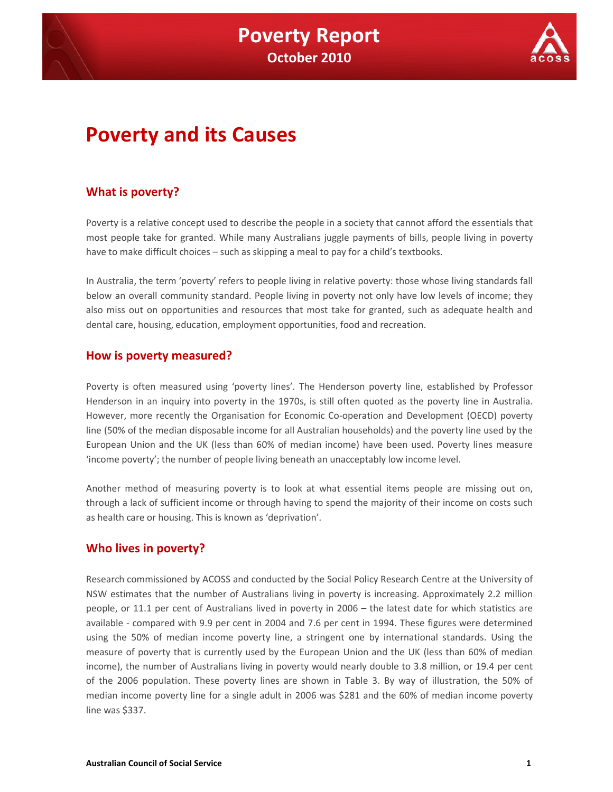

# **Poverty and its Causes**

## **What is poverty?**

Poverty is a relative concept used to describe the people in a society that cannot afford the essentials that most people take for granted. While many Australians juggle payments of bills, people living in poverty have to make difficult choices – such as skipping a meal to pay for a child's textbooks.

In Australia, the term 'poverty' refers to people living in relative poverty: those whose living standards fall below an overall community standard. People living in poverty not only have low levels of income; they also miss out on opportunities and resources that most take for granted, such as adequate health and dental care, housing, education, employment opportunities, food and recreation.

### **How is poverty measured?**

Poverty is often measured using 'poverty lines'. The Henderson poverty line, established by Professor Henderson in an inquiry into poverty in the 1970s, is still often quoted as the poverty line in Australia. However, more recently the Organisation for Economic Co-operation and Development (OECD) poverty line (50% of the median disposable income for all Australian households) and the poverty line used by the European Union and the UK (less than 60% of median income) have been used. Poverty lines measure 'income poverty'; the number of people living beneath an unacceptably low income level.

Another method of measuring poverty is to look at what essential items people are missing out on, through a lack of sufficient income or through having to spend the majority of their income on costs such as health care or housing. This is known as 'deprivation'.

### **Who lives in poverty?**

Research commissioned by ACOSS and conducted by the Social Policy Research Centre at the University of NSW estimates that the number of Australians living in poverty is increasing. Approximately 2.2 million people, or 11.1 per cent of Australians lived in poverty in 2006 – the latest date for which statistics are available - compared with 9.9 per cent in 2004 and 7.6 per cent in 1994. These figures were determined using the 50% of median income poverty line, a stringent one by international standards. Using the measure of poverty that is currently used by the European Union and the UK (less than 60% of median income), the number of Australians living in poverty would nearly double to 3.8 million, or 19.4 per cent of the 2006 population. These poverty lines are shown in Table 3. By way of illustration, the 50% of median income poverty line for a single adult in 2006 was \$281 and the 60% of median income poverty line was \$337.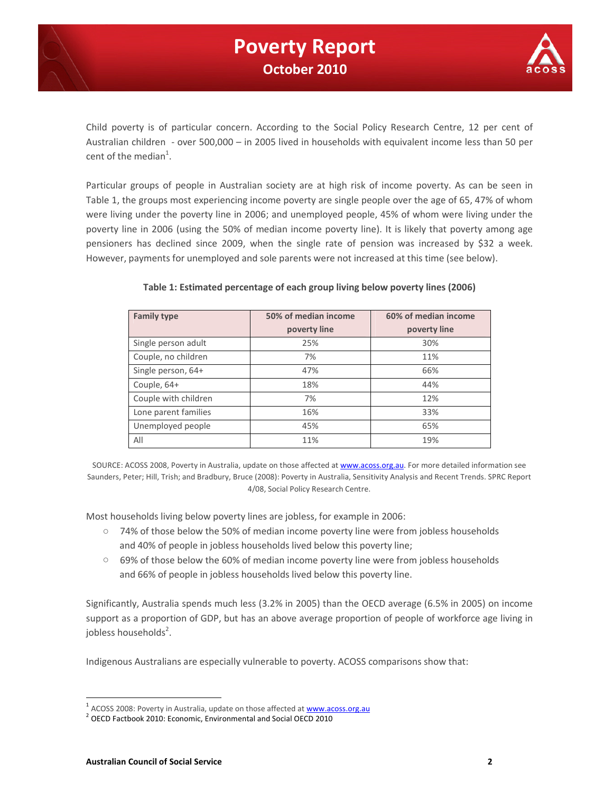

Child poverty is of particular concern. According to the Social Policy Research Centre, 12 per cent of Australian children - over 500,000 – in 2005 lived in households with equivalent income less than 50 per cent of the median<sup>1</sup>.

Particular groups of people in Australian society are at high risk of income poverty. As can be seen in Table 1, the groups most experiencing income poverty are single people over the age of 65, 47% of whom were living under the poverty line in 2006; and unemployed people, 45% of whom were living under the poverty line in 2006 (using the 50% of median income poverty line). It is likely that poverty among age pensioners has declined since 2009, when the single rate of pension was increased by \$32 a week. However, payments for unemployed and sole parents were not increased at this time (see below).

| <b>Family type</b>   | 50% of median income | 60% of median income |
|----------------------|----------------------|----------------------|
|                      | poverty line         | poverty line         |
| Single person adult  | 25%                  | 30%                  |
| Couple, no children  | 7%                   | 11%                  |
| Single person, 64+   | 47%                  | 66%                  |
| Couple, 64+          | 18%                  | 44%                  |
| Couple with children | 7%                   | 12%                  |
| Lone parent families | 16%                  | 33%                  |
| Unemployed people    | 45%                  | 65%                  |
| All                  | 11%                  | 19%                  |

#### **Table 1: Estimated percentage of each group living below poverty lines (2006)**

SOURCE: ACOSS 2008, Poverty in Australia, update on those affected at www.acoss.org.au. For more detailed information see Saunders, Peter; Hill, Trish; and Bradbury, Bruce (2008): Poverty in Australia, Sensitivity Analysis and Recent Trends. SPRC Report 4/08, Social Policy Research Centre.

Most households living below poverty lines are jobless, for example in 2006:

- 74% of those below the 50% of median income poverty line were from jobless households and 40% of people in jobless households lived below this poverty line;
- 69% of those below the 60% of median income poverty line were from jobless households and 66% of people in jobless households lived below this poverty line.

Significantly, Australia spends much less (3.2% in 2005) than the OECD average (6.5% in 2005) on income support as a proportion of GDP, but has an above average proportion of people of workforce age living in jobless households<sup>2</sup>.

Indigenous Australians are especially vulnerable to poverty. ACOSS comparisons show that:

<sup>&</sup>lt;sup>1</sup> ACOSS 2008: Poverty in Australia, update on those affected at www.acoss.org.au

<sup>&</sup>lt;sup>2</sup> OECD Factbook 2010: Economic, Environmental and Social OECD 2010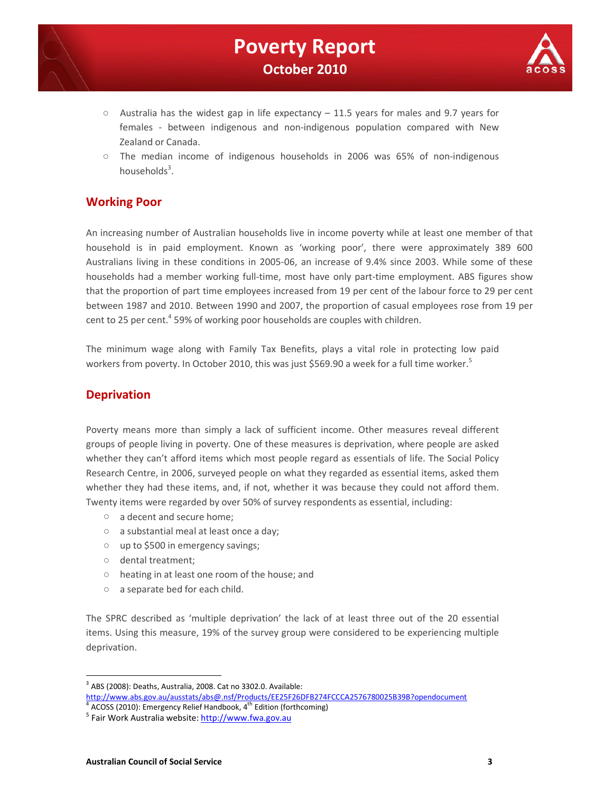



- $\circ$  Australia has the widest gap in life expectancy 11.5 years for males and 9.7 years for females - between indigenous and non-indigenous population compared with New Zealand or Canada.
- The median income of indigenous households in 2006 was 65% of non-indigenous households<sup>3</sup>.

## **Working Poor**

An increasing number of Australian households live in income poverty while at least one member of that household is in paid employment. Known as 'working poor', there were approximately 389 600 Australians living in these conditions in 2005-06, an increase of 9.4% since 2003. While some of these households had a member working full-time, most have only part-time employment. ABS figures show that the proportion of part time employees increased from 19 per cent of the labour force to 29 per cent between 1987 and 2010. Between 1990 and 2007, the proportion of casual employees rose from 19 per cent to 25 per cent. $4$  59% of working poor households are couples with children.

The minimum wage along with Family Tax Benefits, plays a vital role in protecting low paid workers from poverty. In October 2010, this was just \$569.90 a week for a full time worker.<sup>5</sup>

## **Deprivation**

Poverty means more than simply a lack of sufficient income. Other measures reveal different groups of people living in poverty. One of these measures is deprivation, where people are asked whether they can't afford items which most people regard as essentials of life. The Social Policy Research Centre, in 2006, surveyed people on what they regarded as essential items, asked them whether they had these items, and, if not, whether it was because they could not afford them. Twenty items were regarded by over 50% of survey respondents as essential, including:

- a decent and secure home;
- a substantial meal at least once a day;
- up to \$500 in emergency savings;
- dental treatment;
- heating in at least one room of the house; and
- a separate bed for each child.

The SPRC described as 'multiple deprivation' the lack of at least three out of the 20 essential items. Using this measure, 19% of the survey group were considered to be experiencing multiple deprivation.

http://www.abs.gov.au/ausstats/abs@.nsf/Products/EE25F26DFB274FCCCA2576780025B39B?opendocument 4 ACOSS (2010): Emergency Relief Handbook,  $4<sup>th</sup>$  Edition (forthcoming)

 $3$  ABS (2008): Deaths, Australia, 2008. Cat no 3302.0. Available:

<sup>&</sup>lt;sup>5</sup> Fair Work Australia website: http://www.fwa.gov.au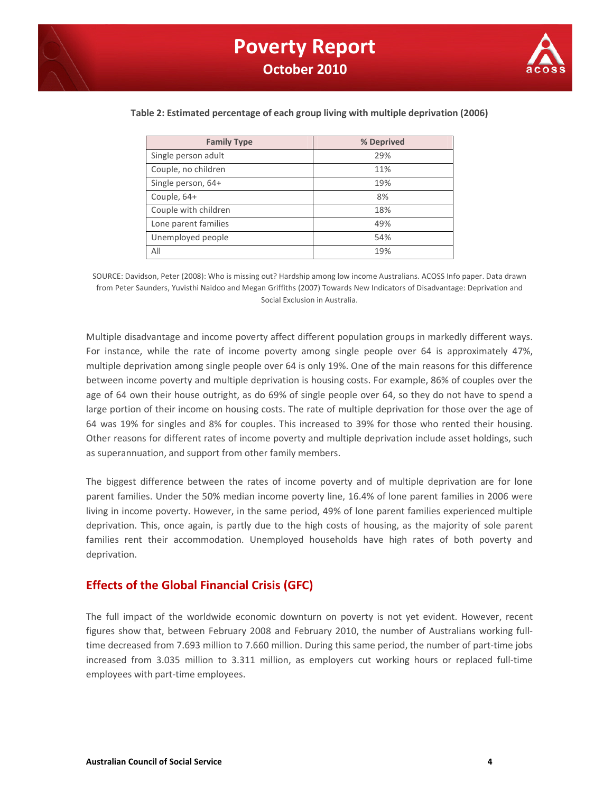

| <b>Family Type</b>   | % Deprived |
|----------------------|------------|
| Single person adult  | 29%        |
| Couple, no children  | 11%        |
| Single person, 64+   | 19%        |
| Couple, 64+          | 8%         |
| Couple with children | 18%        |
| Lone parent families | 49%        |
| Unemployed people    | 54%        |
| All                  | 19%        |

#### **Table 2: Estimated percentage of each group living with multiple deprivation (2006)**

SOURCE: Davidson, Peter (2008): Who is missing out? Hardship among low income Australians. ACOSS Info paper. Data drawn from Peter Saunders, Yuvisthi Naidoo and Megan Griffiths (2007) Towards New Indicators of Disadvantage: Deprivation and Social Exclusion in Australia.

Multiple disadvantage and income poverty affect different population groups in markedly different ways. For instance, while the rate of income poverty among single people over 64 is approximately 47%, multiple deprivation among single people over 64 is only 19%. One of the main reasons for this difference between income poverty and multiple deprivation is housing costs. For example, 86% of couples over the age of 64 own their house outright, as do 69% of single people over 64, so they do not have to spend a large portion of their income on housing costs. The rate of multiple deprivation for those over the age of 64 was 19% for singles and 8% for couples. This increased to 39% for those who rented their housing. Other reasons for different rates of income poverty and multiple deprivation include asset holdings, such as superannuation, and support from other family members.

The biggest difference between the rates of income poverty and of multiple deprivation are for lone parent families. Under the 50% median income poverty line, 16.4% of lone parent families in 2006 were living in income poverty. However, in the same period, 49% of lone parent families experienced multiple deprivation. This, once again, is partly due to the high costs of housing, as the majority of sole parent families rent their accommodation. Unemployed households have high rates of both poverty and deprivation.

### **Effects of the Global Financial Crisis (GFC)**

The full impact of the worldwide economic downturn on poverty is not yet evident. However, recent figures show that, between February 2008 and February 2010, the number of Australians working fulltime decreased from 7.693 million to 7.660 million. During this same period, the number of part-time jobs increased from 3.035 million to 3.311 million, as employers cut working hours or replaced full-time employees with part-time employees.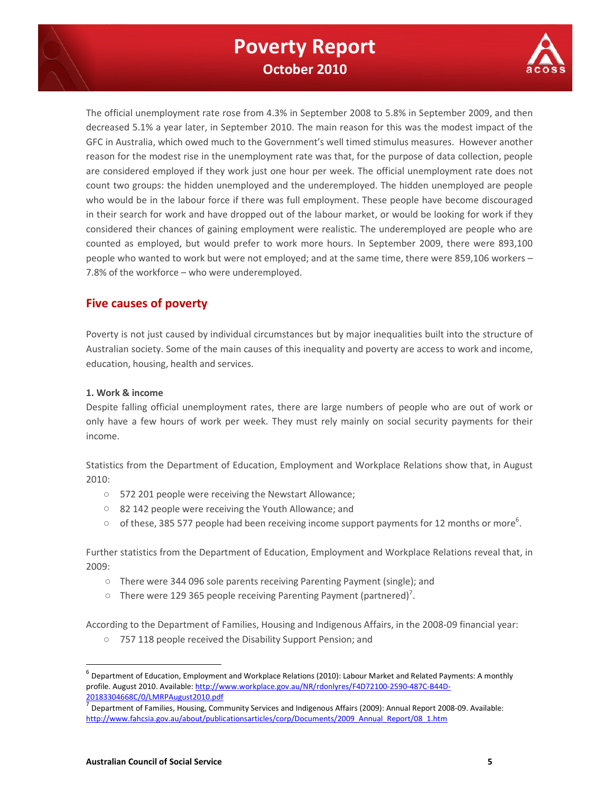

The official unemployment rate rose from 4.3% in September 2008 to 5.8% in September 2009, and then decreased 5.1% a year later, in September 2010. The main reason for this was the modest impact of the GFC in Australia, which owed much to the Government's well timed stimulus measures. However another reason for the modest rise in the unemployment rate was that, for the purpose of data collection, people are considered employed if they work just one hour per week. The official unemployment rate does not count two groups: the hidden unemployed and the underemployed. The hidden unemployed are people who would be in the labour force if there was full employment. These people have become discouraged in their search for work and have dropped out of the labour market, or would be looking for work if they considered their chances of gaining employment were realistic. The underemployed are people who are counted as employed, but would prefer to work more hours. In September 2009, there were 893,100 people who wanted to work but were not employed; and at the same time, there were 859,106 workers – 7.8% of the workforce – who were underemployed.

## **Five causes of poverty**

Poverty is not just caused by individual circumstances but by major inequalities built into the structure of Australian society. Some of the main causes of this inequality and poverty are access to work and income, education, housing, health and services.

#### **1. Work & income**

Despite falling official unemployment rates, there are large numbers of people who are out of work or only have a few hours of work per week. They must rely mainly on social security payments for their income.

Statistics from the Department of Education, Employment and Workplace Relations show that, in August 2010:

- 572 201 people were receiving the Newstart Allowance;
- 82 142 people were receiving the Youth Allowance; and
- $\circ$  of these, 385 577 people had been receiving income support payments for 12 months or more<sup>6</sup>.

Further statistics from the Department of Education, Employment and Workplace Relations reveal that, in 2009:

- There were 344 096 sole parents receiving Parenting Payment (single); and
- $\circ$  There were 129 365 people receiving Parenting Payment (partnered)<sup>7</sup>.

According to the Department of Families, Housing and Indigenous Affairs, in the 2008-09 financial year:

○ 757 118 people received the Disability Support Pension; and

 $^6$  Department of Education, Employment and Workplace Relations (2010): Labour Market and Related Payments: A monthly profile. August 2010. Available: http://www.workplace.gov.au/NR/rdonlyres/F4D72100-2590-487C-B44D-20183304668C/0/LMRPAugust2010.pdf

Department of Families, Housing, Community Services and Indigenous Affairs (2009): Annual Report 2008-09. Available: http://www.fahcsia.gov.au/about/publicationsarticles/corp/Documents/2009\_Annual\_Report/08\_1.htm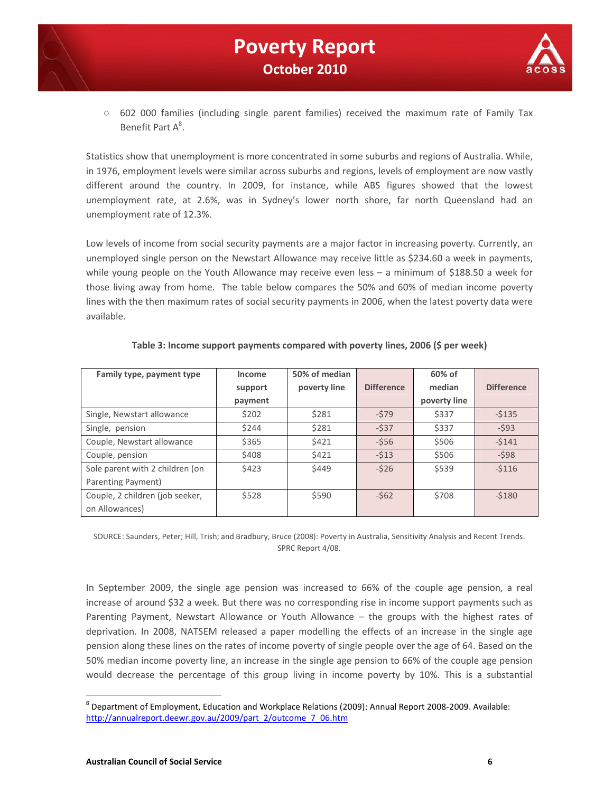



○ 602 000 families (including single parent families) received the maximum rate of Family Tax Benefit Part A<sup>8</sup>.

Statistics show that unemployment is more concentrated in some suburbs and regions of Australia. While, in 1976, employment levels were similar across suburbs and regions, levels of employment are now vastly different around the country. In 2009, for instance, while ABS figures showed that the lowest unemployment rate, at 2.6%, was in Sydney's lower north shore, far north Queensland had an unemployment rate of 12.3%.

Low levels of income from social security payments are a major factor in increasing poverty. Currently, an unemployed single person on the Newstart Allowance may receive little as \$234.60 a week in payments, while young people on the Youth Allowance may receive even less – a minimum of \$188.50 a week for those living away from home. The table below compares the 50% and 60% of median income poverty lines with the then maximum rates of social security payments in 2006, when the latest poverty data were available.

| Family type, payment type       | Income  | 50% of median |                   | 60% of       |                   |
|---------------------------------|---------|---------------|-------------------|--------------|-------------------|
|                                 | support | poverty line  | <b>Difference</b> | median       | <b>Difference</b> |
|                                 | payment |               |                   | poverty line |                   |
| Single, Newstart allowance      | \$202   | \$281         | $-579$            | \$337        | $-5135$           |
| Single, pension                 | \$244   | \$281         | $-537$            | \$337        | $-593$            |
| Couple, Newstart allowance      | \$365   | \$421         | $-556$            | \$506        | $-5141$           |
| Couple, pension                 | \$408   | \$421         | $-513$            | \$506        | $-598$            |
| Sole parent with 2 children (on | \$423   | \$449         | $-526$            | \$539        | $-5116$           |
| Parenting Payment)              |         |               |                   |              |                   |
| Couple, 2 children (job seeker, | \$528   | \$590         | $-562$            | \$708        | $-5180$           |
| on Allowances)                  |         |               |                   |              |                   |

#### **Table 3: Income support payments compared with poverty lines, 2006 (\$ per week)**

SOURCE: Saunders, Peter; Hill, Trish; and Bradbury, Bruce (2008): Poverty in Australia, Sensitivity Analysis and Recent Trends. SPRC Report 4/08.

In September 2009, the single age pension was increased to 66% of the couple age pension, a real increase of around \$32 a week. But there was no corresponding rise in income support payments such as Parenting Payment, Newstart Allowance or Youth Allowance – the groups with the highest rates of deprivation. In 2008, NATSEM released a paper modelling the effects of an increase in the single age pension along these lines on the rates of income poverty of single people over the age of 64. Based on the 50% median income poverty line, an increase in the single age pension to 66% of the couple age pension would decrease the percentage of this group living in income poverty by 10%. This is a substantial

<sup>8</sup> Department of Employment, Education and Workplace Relations (2009): Annual Report 2008-2009. Available: http://annualreport.deewr.gov.au/2009/part\_2/outcome\_7\_06.htm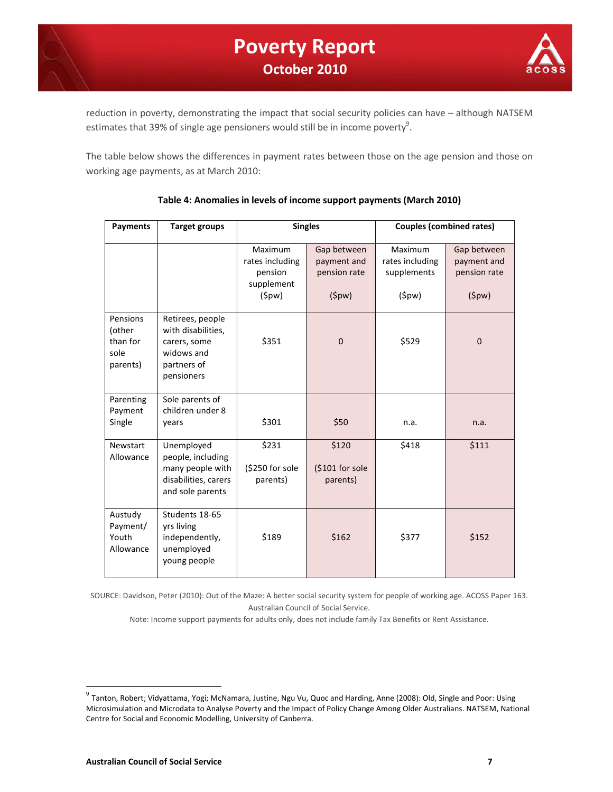

reduction in poverty, demonstrating the impact that social security policies can have – although NATSEM estimates that 39% of single age pensioners would still be in income poverty<sup>9</sup>.

The table below shows the differences in payment rates between those on the age pension and those on working age payments, as at March 2010:

| Payments                                           | <b>Target groups</b>                                                                              | <b>Singles</b>                                                      |                                                     | <b>Couples (combined rates)</b>                    |                                                     |  |
|----------------------------------------------------|---------------------------------------------------------------------------------------------------|---------------------------------------------------------------------|-----------------------------------------------------|----------------------------------------------------|-----------------------------------------------------|--|
|                                                    |                                                                                                   | <b>Maximum</b><br>rates including<br>pension<br>supplement<br>(5pw) | Gap between<br>payment and<br>pension rate<br>(5pw) | Maximum<br>rates including<br>supplements<br>(5pw) | Gap between<br>payment and<br>pension rate<br>(5pw) |  |
| Pensions<br>(other<br>than for<br>sole<br>parents) | Retirees, people<br>with disabilities,<br>carers, some<br>widows and<br>partners of<br>pensioners | \$351                                                               | $\mathbf{0}$                                        | \$529                                              | $\mathbf 0$                                         |  |
| Parenting<br>Payment<br>Single                     | Sole parents of<br>children under 8<br>years                                                      | \$301                                                               | \$50                                                | n.a.                                               | n.a.                                                |  |
| Newstart<br>Allowance                              | Unemployed<br>people, including<br>many people with<br>disabilities, carers<br>and sole parents   | \$231<br>(\$250 for sole<br>parents)                                | \$120<br>(\$101 for sole<br>parents)                | \$418                                              | \$111                                               |  |
| Austudy<br>Payment/<br>Youth<br>Allowance          | Students 18-65<br>yrs living<br>independently,<br>unemployed<br>young people                      | \$189                                                               | \$162                                               | \$377                                              | \$152                                               |  |

#### **Table 4: Anomalies in levels of income support payments (March 2010)**

SOURCE: Davidson, Peter (2010): Out of the Maze: A better social security system for people of working age. ACOSS Paper 163. Australian Council of Social Service.

Note: Income support payments for adults only, does not include family Tax Benefits or Rent Assistance.

<sup>&</sup>lt;sup>9</sup> Tanton, Robert; Vidyattama, Yogi; McNamara, Justine, Ngu Vu, Quoc and Harding, Anne (2008): Old, Single and Poor: Using Microsimulation and Microdata to Analyse Poverty and the Impact of Policy Change Among Older Australians. NATSEM, National Centre for Social and Economic Modelling, University of Canberra.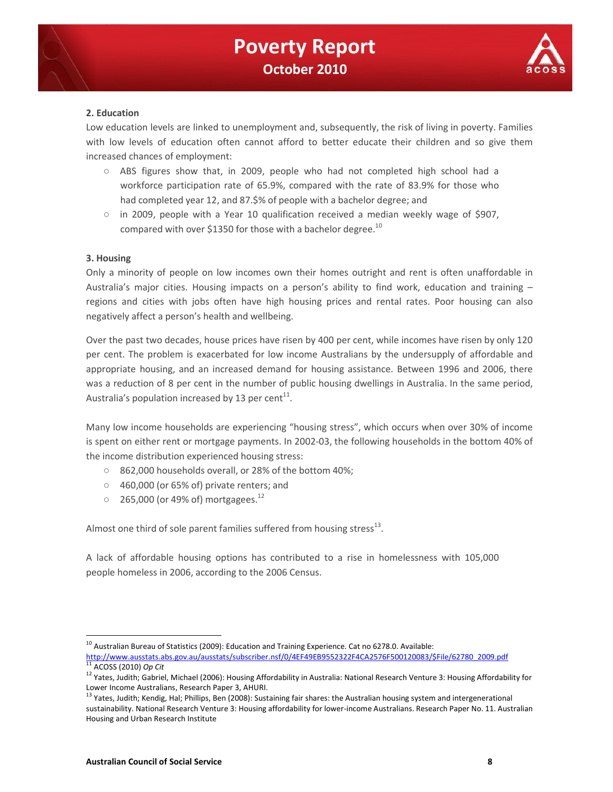

#### **2. Education**

Low education levels are linked to unemployment and, subsequently, the risk of living in poverty. Families with low levels of education often cannot afford to better educate their children and so give them increased chances of employment:

- ABS figures show that, in 2009, people who had not completed high school had a workforce participation rate of 65.9%, compared with the rate of 83.9% for those who had completed year 12, and 87.\$% of people with a bachelor degree; and
- $\circ$  in 2009, people with a Year 10 qualification received a median weekly wage of \$907, compared with over \$1350 for those with a bachelor degree.<sup>10</sup>

#### **3. Housing**

Only a minority of people on low incomes own their homes outright and rent is often unaffordable in Australia's major cities. Housing impacts on a person's ability to find work, education and training – regions and cities with jobs often have high housing prices and rental rates. Poor housing can also negatively affect a person's health and wellbeing.

Over the past two decades, house prices have risen by 400 per cent, while incomes have risen by only 120 per cent. The problem is exacerbated for low income Australians by the undersupply of affordable and appropriate housing, and an increased demand for housing assistance. Between 1996 and 2006, there was a reduction of 8 per cent in the number of public housing dwellings in Australia. In the same period, Australia's population increased by 13 per cent $^{11}$ .

Many low income households are experiencing "housing stress", which occurs when over 30% of income is spent on either rent or mortgage payments. In 2002-03, the following households in the bottom 40% of the income distribution experienced housing stress:

- 862,000 households overall, or 28% of the bottom 40%;
- 460,000 (or 65% of) private renters; and
- $\degree$  265,000 (or 49% of) mortgagees.<sup>12</sup>

Almost one third of sole parent families suffered from housing stress $^{13}$ .

A lack of affordable housing options has contributed to a rise in homelessness with 105,000 people homeless in 2006, according to the 2006 Census.

 $10$  Australian Bureau of Statistics (2009): Education and Training Experience. Cat no 6278.0. Available:

http://www.ausstats.abs.gov.au/ausstats/subscriber.nsf/0/4EF49EB9552322F4CA2576F500120083/\$File/62780\_2009.pdf <sup>11</sup> ACOSS (2010) *Op Cit* 

<sup>&</sup>lt;sup>12</sup> Yates, Judith; Gabriel, Michael (2006): Housing Affordability in Australia: National Research Venture 3: Housing Affordability for Lower Income Australians, Research Paper 3, AHURI.

<sup>&</sup>lt;sup>13</sup> Yates, Judith; Kendig, Hal; Phillips, Ben (2008): Sustaining fair shares: the Australian housing system and intergenerational sustainability. National Research Venture 3: Housing affordability for lower-income Australians. Research Paper No. 11. Australian Housing and Urban Research Institute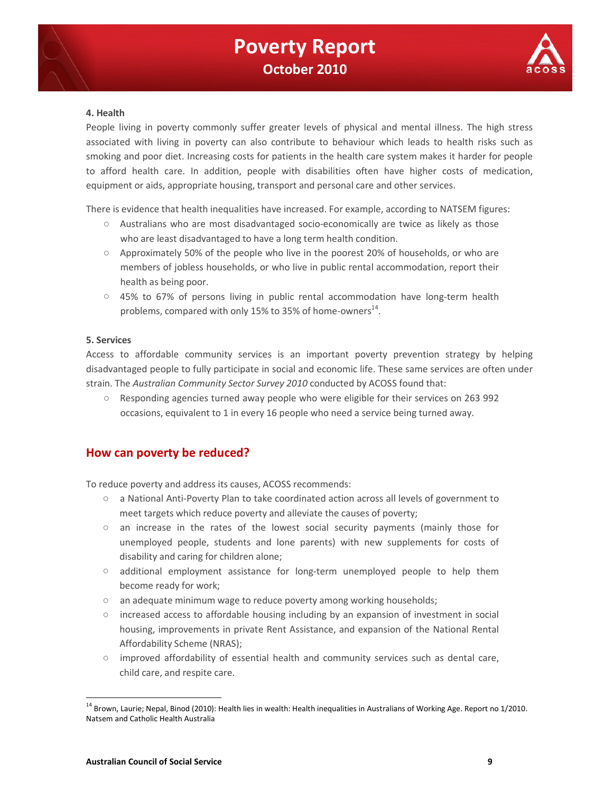

#### **4. Health**

People living in poverty commonly suffer greater levels of physical and mental illness. The high stress associated with living in poverty can also contribute to behaviour which leads to health risks such as smoking and poor diet. Increasing costs for patients in the health care system makes it harder for people to afford health care. In addition, people with disabilities often have higher costs of medication, equipment or aids, appropriate housing, transport and personal care and other services.

There is evidence that health inequalities have increased. For example, according to NATSEM figures:

- Australians who are most disadvantaged socio-economically are twice as likely as those who are least disadvantaged to have a long term health condition.
- Approximately 50% of the people who live in the poorest 20% of households, or who are members of jobless households, or who live in public rental accommodation, report their health as being poor.
- 45% to 67% of persons living in public rental accommodation have long-term health problems, compared with only 15% to 35% of home-owners<sup>14</sup>.

#### **5. Services**

Access to affordable community services is an important poverty prevention strategy by helping disadvantaged people to fully participate in social and economic life. These same services are often under strain. The *Australian Community Sector Survey 2010* conducted by ACOSS found that:

○ Responding agencies turned away people who were eligible for their services on 263 992 occasions, equivalent to 1 in every 16 people who need a service being turned away.

### **How can poverty be reduced?**

To reduce poverty and address its causes, ACOSS recommends:

- a National Anti-Poverty Plan to take coordinated action across all levels of government to meet targets which reduce poverty and alleviate the causes of poverty;
- $\circ$  an increase in the rates of the lowest social security payments (mainly those for unemployed people, students and lone parents) with new supplements for costs of disability and caring for children alone;
- additional employment assistance for long-term unemployed people to help them become ready for work;
- an adequate minimum wage to reduce poverty among working households;
- increased access to affordable housing including by an expansion of investment in social housing, improvements in private Rent Assistance, and expansion of the National Rental Affordability Scheme (NRAS);
- improved affordability of essential health and community services such as dental care, child care, and respite care.

<sup>&</sup>lt;sup>14</sup> Brown, Laurie; Nepal, Binod (2010): Health lies in wealth: Health inequalities in Australians of Working Age. Report no 1/2010. Natsem and Catholic Health Australia